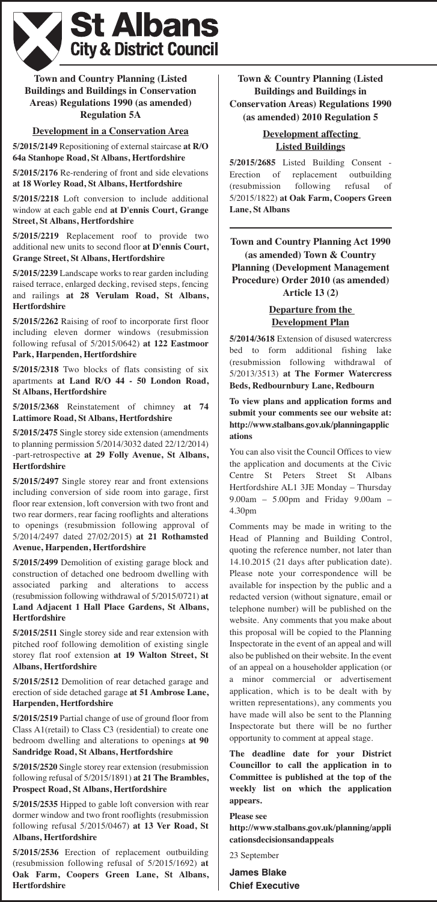

## **Town and Country Planning (Listed Buildings and Buildings in Conservation Areas) Regulations 1990 (as amended) Regulation 5A**

## **Development in a Conservation Area**

**5/2015/2149** Repositioning of external staircase **at R/O 64a Stanhope Road, St Albans, Hertfordshire**

**5/2015/2176** Re-rendering of front and side elevations **at 18 Worley Road, St Albans, Hertfordshire**

**5/2015/2218** Loft conversion to include additional window at each gable end **at D'ennis Court, Grange Street, St Albans, Hertfordshire**

**5/2015/2219** Replacement roof to provide two additional new units to second floor **at D'ennis Court, Grange Street, St Albans, Hertfordshire**

**5/2015/2239** Landscape works to rear garden including raised terrace, enlarged decking, revised steps, fencing and railings **at 28 Verulam Road, St Albans, Hertfordshire**

**5/2015/2262** Raising of roof to incorporate first floor including eleven dormer windows (resubmission following refusal of 5/2015/0642) **at 122 Eastmoor Park, Harpenden, Hertfordshire**

**5/2015/2318** Two blocks of flats consisting of six apartments **at Land R/O 44 - 50 London Road, St Albans, Hertfordshire**

**5/2015/2368** Reinstatement of chimney **at 74 Lattimore Road, St Albans, Hertfordshire**

**5/2015/2475** Single storey side extension (amendments to planning permission 5/2014/3032 dated 22/12/2014) -part-retrospective **at 29 Folly Avenue, St Albans, Hertfordshire**

**5/2015/2497** Single storey rear and front extensions including conversion of side room into garage, first floor rear extension, loft conversion with two front and two rear dormers, rear facing rooflights and alterations to openings (resubmission following approval of 5/2014/2497 dated 27/02/2015) **at 21 Rothamsted Avenue, Harpenden, Hertfordshire**

**5/2015/2499** Demolition of existing garage block and construction of detached one bedroom dwelling with associated parking and alterations to access (resubmission following withdrawal of 5/2015/0721) **at Land Adjacent 1 Hall Place Gardens, St Albans, Hertfordshire**

**5/2015/2511** Single storey side and rear extension with pitched roof following demolition of existing single storey flat roof extension **at 19 Walton Street, St Albans, Hertfordshire**

**5/2015/2512** Demolition of rear detached garage and erection of side detached garage **at 51 Ambrose Lane, Harpenden, Hertfordshire**

**5/2015/2519** Partial change of use of ground floor from Class A1(retail) to Class C3 (residential) to create one bedroom dwelling and alterations to openings **at 90 Sandridge Road, St Albans, Hertfordshire**

**5/2015/2520** Single storey rear extension (resubmission following refusal of 5/2015/1891) **at 21 The Brambles, Prospect Road, St Albans, Hertfordshire**

**5/2015/2535** Hipped to gable loft conversion with rear dormer window and two front rooflights (resubmission following refusal 5/2015/0467) **at 13 Ver Road, St Albans, Hertfordshire**

**5/2015/2536** Erection of replacement outbuilding (resubmission following refusal of 5/2015/1692) **at Oak Farm, Coopers Green Lane, St Albans, Hertfordshire**

**Town & Country Planning (Listed Buildings and Buildings in Conservation Areas) Regulations 1990 (as amended) 2010 Regulation 5**

# **Development affecting Listed Buildings**

**5/2015/2685** Listed Building Consent - Erection of replacement outbuilding (resubmission following refusal of 5/2015/1822) **at Oak Farm, Coopers Green Lane, St Albans**

**Town and Country Planning Act 1990 (as amended) Town & Country Planning (Development Management Procedure) Order 2010 (as amended) Article 13 (2)**

# **Departure from the Development Plan**

**5/2014/3618** Extension of disused watercress bed to form additional fishing lake (resubmission following withdrawal of 5/2013/3513) **at The Former Watercress Beds, Redbournbury Lane, Redbourn**

**To view plans and application forms and submit your comments see our website at: http://www.stalbans.gov.uk/planningapplic ations**

You can also visit the Council Offices to view the application and documents at the Civic Centre St Peters Street St Albans Hertfordshire AL1 3JE Monday – Thursday 9.00am – 5.00pm and Friday 9.00am – 4.30pm

Comments may be made in writing to the Head of Planning and Building Control, quoting the reference number, not later than 14.10.2015 (21 days after publication date). Please note your correspondence will be available for inspection by the public and a redacted version (without signature, email or telephone number) will be published on the website. Any comments that you make about this proposal will be copied to the Planning Inspectorate in the event of an appeal and will also be published on their website. In the event of an appeal on a householder application (or a minor commercial or advertisement application, which is to be dealt with by written representations), any comments you have made will also be sent to the Planning Inspectorate but there will be no further opportunity to comment at appeal stage.

**The deadline date for your District Councillor to call the application in to Committee is published at the top of the weekly list on which the application appears.**

**Please see**

**http://www.stalbans.gov.uk/planning/appli cationsdecisionsandappeals**

23 September

**James Blake Chief Executive**